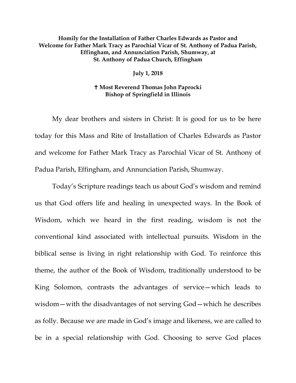## **Homily for the Installation of Father Charles Edwards as Pastor and Welcome for Father Mark Tracy as Parochial Vicar of St. Anthony of Padua Parish, Effingham, and Annunciation Parish, Shumway, at St. Anthony of Padua Church, Effingham**

**July 1, 2018**

## **Most Reverend Thomas John Paprocki Bishop of Springfield in Illinois**

My dear brothers and sisters in Christ: It is good for us to be here today for this Mass and Rite of Installation of Charles Edwards as Pastor and welcome for Father Mark Tracy as Parochial Vicar of St. Anthony of Padua Parish, Effingham, and Annunciation Parish, Shumway.

Today's Scripture readings teach us about God's wisdom and remind us that God offers life and healing in unexpected ways. In the Book of Wisdom, which we heard in the first reading, wisdom is not the conventional kind associated with intellectual pursuits. Wisdom in the biblical sense is living in right relationship with God. To reinforce this theme, the author of the Book of Wisdom, traditionally understood to be King Solomon, contrasts the advantages of service—which leads to wisdom—with the disadvantages of not serving God—which he describes as folly. Because we are made in God's image and likeness, we are called to be in a special relationship with God. Choosing to serve God places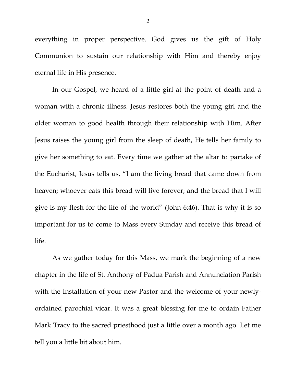everything in proper perspective. God gives us the gift of Holy Communion to sustain our relationship with Him and thereby enjoy eternal life in His presence.

In our Gospel, we heard of a little girl at the point of death and a woman with a chronic illness. Jesus restores both the young girl and the older woman to good health through their relationship with Him. After Jesus raises the young girl from the sleep of death, He tells her family to give her something to eat. Every time we gather at the altar to partake of the Eucharist, Jesus tells us, "I am the living bread that came down from heaven; whoever eats this bread will live forever; and the bread that I will give is my flesh for the life of the world" (John 6:46). That is why it is so important for us to come to Mass every Sunday and receive this bread of life.

As we gather today for this Mass, we mark the beginning of a new chapter in the life of St. Anthony of Padua Parish and Annunciation Parish with the Installation of your new Pastor and the welcome of your newlyordained parochial vicar. It was a great blessing for me to ordain Father Mark Tracy to the sacred priesthood just a little over a month ago. Let me tell you a little bit about him.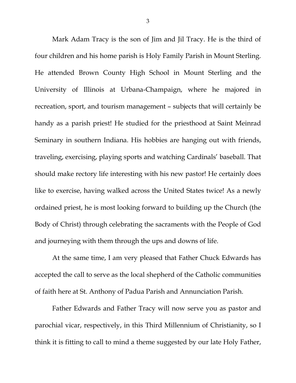Mark Adam Tracy is the son of Jim and Jil Tracy. He is the third of four children and his home parish is Holy Family Parish in Mount Sterling. He attended Brown County High School in Mount Sterling and the University of Illinois at Urbana-Champaign, where he majored in recreation, sport, and tourism management – subjects that will certainly be handy as a parish priest! He studied for the priesthood at Saint Meinrad Seminary in southern Indiana. His hobbies are hanging out with friends, traveling, exercising, playing sports and watching Cardinals' baseball. That should make rectory life interesting with his new pastor! He certainly does like to exercise, having walked across the United States twice! As a newly ordained priest, he is most looking forward to building up the Church (the Body of Christ) through celebrating the sacraments with the People of God and journeying with them through the ups and downs of life.

<span id="page-2-1"></span><span id="page-2-0"></span>At the same time, I am very pleased that Father Chuck Edwards has accepted the call to serve as the local shepherd of the Catholic communities of faith here at St. Anthony of Padua Parish and Annunciation Parish.

Father Edwards and Father Tracy will now serve you as pastor and parochial vicar, respectively, in this Third Millennium of Christianity, so I think it is fitting to call to mind a theme suggested by our late Holy Father,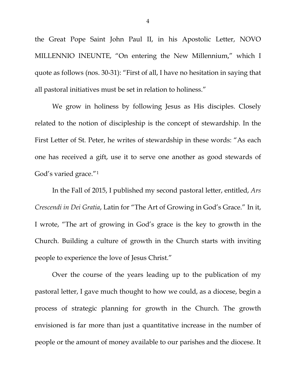the Great Pope Saint John Paul II, in his Apostolic Letter, NOVO MILLENNIO INEUNTE, "On entering the New Millennium," which I quote as follows (nos. 30-31): "First of all, I have no hesitation in saying that all pastoral initiatives must be set in relation to holiness."

We grow in holiness by following Jesus as His disciples. Closely related to the notion of discipleship is the concept of stewardship. In the First Letter of St. Peter, he writes of stewardship in these words: "As each one has received a gift, use it to serve one another as good stewards of God's varied grace."[1](#page-2-0)

In the Fall of 2015, I published my second pastoral letter, entitled, *Ars Crescendi in Dei Gratia*, Latin for "The Art of Growing in God's Grace." In it, I wrote, "The art of growing in God's grace is the key to growth in the Church. Building a culture of growth in the Church starts with inviting people to experience the love of Jesus Christ."

Over the course of the years leading up to the publication of my pastoral letter, I gave much thought to how we could, as a diocese, begin a process of strategic planning for growth in the Church. The growth envisioned is far more than just a quantitative increase in the number of people or the amount of money available to our parishes and the diocese. It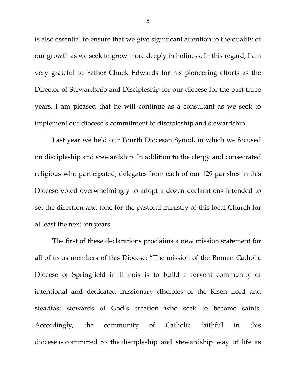is also essential to ensure that we give significant attention to the quality of our growth as we seek to grow more deeply in holiness. In this regard, I am very grateful to Father Chuck Edwards for his pioneering efforts as the Director of Stewardship and Discipleship for our diocese for the past three years. I am pleased that he will continue as a consultant as we seek to implement our diocese's commitment to discipleship and stewardship.

Last year we held our Fourth Diocesan Synod, in which we focused on discipleship and stewardship. In addition to the clergy and consecrated religious who participated, delegates from each of our 129 parishes in this Diocese voted overwhelmingly to adopt a dozen declarations intended to set the direction and tone for the pastoral ministry of this local Church for at least the next ten years.

The first of these declarations proclaims a new mission statement for all of us as members of this Diocese: "The mission of the Roman Catholic Diocese of Springfield in Illinois is to build a fervent community of intentional and dedicated missionary disciples of the Risen Lord and steadfast stewards of God's creation who seek to become saints. Accordingly, the community of Catholic faithful in this diocese is committed to the discipleship and stewardship way of life as

5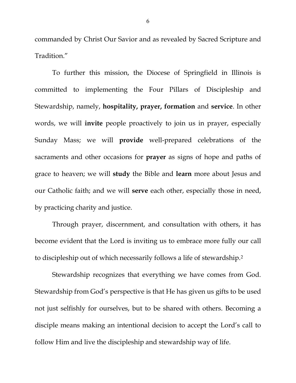commanded by Christ Our Savior and as revealed by Sacred Scripture and Tradition."

To further this mission, the Diocese of Springfield in Illinois is committed to implementing the Four Pillars of Discipleship and Stewardship, namely, **hospitality, prayer, formation** and **service**. In other words, we will **invite** people proactively to join us in prayer, especially Sunday Mass; we will **provide** well-prepared celebrations of the sacraments and other occasions for **prayer** as signs of hope and paths of grace to heaven; we will **study** the Bible and **learn** more about Jesus and our Catholic faith; and we will **serve** each other, especially those in need, by practicing charity and justice.

Through prayer, discernment, and consultation with others, it has become evident that the Lord is inviting us to embrace more fully our call to discipleship out of which necessarily follows a life of stewardship.[2](#page-2-1)

Stewardship recognizes that everything we have comes from God. Stewardship from God's perspective is that He has given us gifts to be used not just selfishly for ourselves, but to be shared with others. Becoming a disciple means making an intentional decision to accept the Lord's call to follow Him and live the discipleship and stewardship way of life.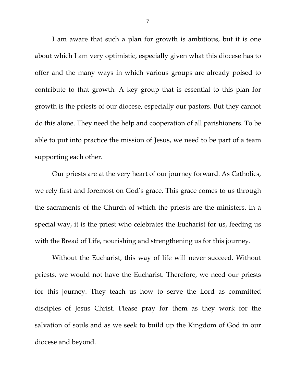I am aware that such a plan for growth is ambitious, but it is one about which I am very optimistic, especially given what this diocese has to offer and the many ways in which various groups are already poised to contribute to that growth. A key group that is essential to this plan for growth is the priests of our diocese, especially our pastors. But they cannot do this alone. They need the help and cooperation of all parishioners. To be able to put into practice the mission of Jesus, we need to be part of a team supporting each other.

Our priests are at the very heart of our journey forward. As Catholics, we rely first and foremost on God's grace. This grace comes to us through the sacraments of the Church of which the priests are the ministers. In a special way, it is the priest who celebrates the Eucharist for us, feeding us with the Bread of Life, nourishing and strengthening us for this journey.

Without the Eucharist, this way of life will never succeed. Without priests, we would not have the Eucharist. Therefore, we need our priests for this journey. They teach us how to serve the Lord as committed disciples of Jesus Christ. Please pray for them as they work for the salvation of souls and as we seek to build up the Kingdom of God in our diocese and beyond.